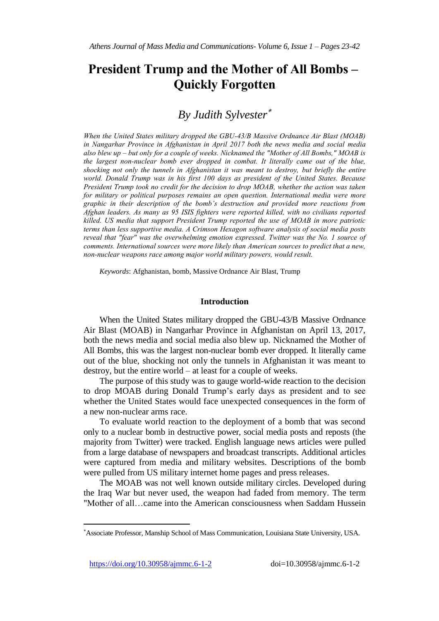# **President Trump and the Mother of All Bombs – Quickly Forgotten**

# *By Judith Sylvester*

*When the United States military dropped the GBU-43/B Massive Ordnance Air Blast (MOAB) in Nangarhar Province in Afghanistan in April 2017 both the news media and social media also blew up – but only for a couple of weeks. Nicknamed the "Mother of All Bombs," MOAB is the largest non-nuclear bomb ever dropped in combat. It literally came out of the blue, shocking not only the tunnels in Afghanistan it was meant to destroy, but briefly the entire world. Donald Trump was in his first 100 days as president of the United States. Because President Trump took no credit for the decision to drop MOAB, whether the action was taken for military or political purposes remains an open question. International media were more graphic in their description of the bomb's destruction and provided more reactions from Afghan leaders. As many as 95 ISIS fighters were reported killed, with no civilians reported killed. US media that support President Trump reported the use of MOAB in more patriotic terms than less supportive media. A Crimson Hexagon software analysis of social media posts reveal that "fear" was the overwhelming emotion expressed. Twitter was the No. 1 source of comments. International sources were more likely than American sources to predict that a new, non-nuclear weapons race among major world military powers, would result.*

*Keywords*: Afghanistan, bomb, Massive Ordnance Air Blast, Trump

#### **Introduction**

When the United States military dropped the GBU-43/B Massive Ordnance Air Blast (MOAB) in Nangarhar Province in Afghanistan on April 13, 2017, both the news media and social media also blew up. Nicknamed the Mother of All Bombs, this was the largest non-nuclear bomb ever dropped. It literally came out of the blue, shocking not only the tunnels in Afghanistan it was meant to destroy, but the entire world – at least for a couple of weeks.

The purpose of this study was to gauge world-wide reaction to the decision to drop MOAB during Donald Trump's early days as president and to see whether the United States would face unexpected consequences in the form of a new non-nuclear arms race.

To evaluate world reaction to the deployment of a bomb that was second only to a nuclear bomb in destructive power, social media posts and reposts (the majority from Twitter) were tracked. English language news articles were pulled from a large database of newspapers and broadcast transcripts. Additional articles were captured from media and military websites. Descriptions of the bomb were pulled from US military internet home pages and press releases.

The MOAB was not well known outside military circles. Developed during the Iraq War but never used, the weapon had faded from memory. The term "Mother of all…came into the American consciousness when Saddam Hussein

 $\overline{a}$ 

Associate Professor, Manship School of Mass Communication, Louisiana State University, USA.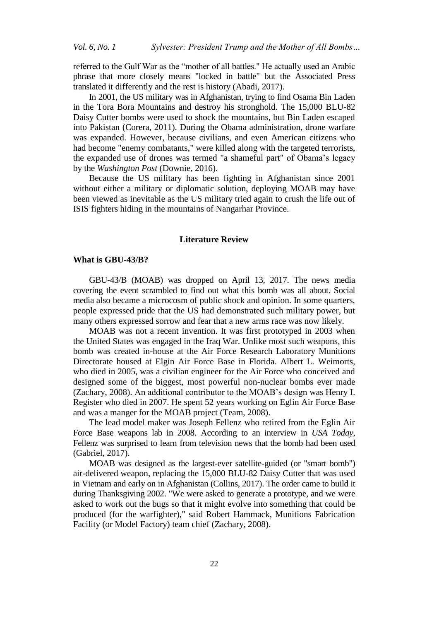referred to the Gulf War as the "mother of all battles." He actually used an Arabic phrase that more closely means "locked in battle" but the Associated Press translated it differently and the rest is history (Abadi, 2017).

In 2001, the US military was in Afghanistan, trying to find Osama Bin Laden in the Tora Bora Mountains and destroy his stronghold. The 15,000 BLU-82 Daisy Cutter bombs were used to shock the mountains, but Bin Laden escaped into Pakistan (Corera, 2011). During the Obama administration, drone warfare was expanded. However, because civilians, and even American citizens who had become "enemy combatants," were killed along with the targeted terrorists, the expanded use of drones was termed "a shameful part" of Obama's legacy by the *Washington Post* (Downie, 2016).

Because the US military has been fighting in Afghanistan since 2001 without either a military or diplomatic solution, deploying MOAB may have been viewed as inevitable as the US military tried again to crush the life out of ISIS fighters hiding in the mountains of Nangarhar Province.

#### **Literature Review**

#### **What is GBU-43/B?**

GBU-43/B (MOAB) was dropped on April 13, 2017. The news media covering the event scrambled to find out what this bomb was all about. Social media also became a microcosm of public shock and opinion. In some quarters, people expressed pride that the US had demonstrated such military power, but many others expressed sorrow and fear that a new arms race was now likely.

MOAB was not a recent invention. It was first prototyped in 2003 when the United States was engaged in the Iraq War. Unlike most such weapons, this bomb was created in-house at the Air Force Research Laboratory Munitions Directorate housed at Elgin Air Force Base in Florida. Albert L. Weimorts, who died in 2005, was a civilian engineer for the Air Force who conceived and designed some of the biggest, most powerful non-nuclear bombs ever made (Zachary, 2008). An additional contributor to the MOAB's design was Henry I. Register who died in 2007. He spent 52 years working on Eglin Air Force Base and was a manger for the MOAB project (Team, 2008).

The lead model maker was Joseph Fellenz who retired from the Eglin Air Force Base weapons lab in 2008. According to an interview in *USA Today*, Fellenz was surprised to learn from television news that the bomb had been used (Gabriel, 2017).

MOAB was designed as the largest-ever satellite-guided (or "smart bomb") air-delivered weapon, replacing the 15,000 BLU-82 Daisy Cutter that was used in Vietnam and early on in Afghanistan (Collins, 2017). The order came to build it during Thanksgiving 2002. "We were asked to generate a prototype, and we were asked to work out the bugs so that it might evolve into something that could be produced (for the warfighter)," said Robert Hammack, Munitions Fabrication Facility (or Model Factory) team chief (Zachary, 2008).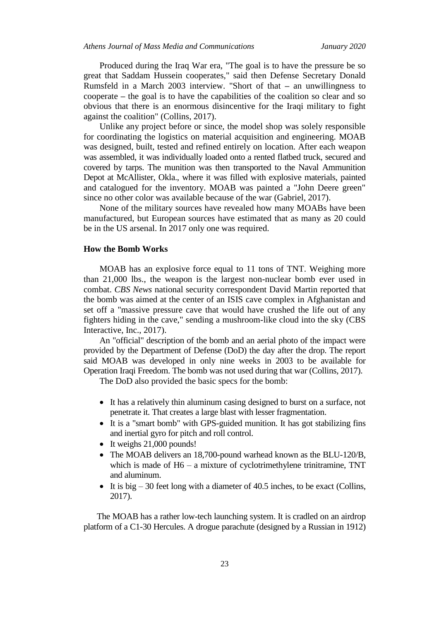Produced during the Iraq War era, "The goal is to have the pressure be so great that Saddam Hussein cooperates," said then Defense Secretary Donald Rumsfeld in a March 2003 interview. "Short of that **–** an unwillingness to cooperate **–** the goal is to have the capabilities of the coalition so clear and so obvious that there is an enormous disincentive for the Iraqi military to fight against the coalition" (Collins, 2017).

Unlike any project before or since, the model shop was solely responsible for coordinating the logistics on material acquisition and engineering. MOAB was designed, built, tested and refined entirely on location. After each weapon was assembled, it was individually loaded onto a rented flatbed truck, secured and covered by tarps. The munition was then transported to the Naval Ammunition Depot at McAllister, Okla., where it was filled with explosive materials, painted and catalogued for the inventory. MOAB was painted a "John Deere green" since no other color was available because of the war (Gabriel, 2017).

None of the military sources have revealed how many MOABs have been manufactured, but European sources have estimated that as many as 20 could be in the US arsenal. In 2017 only one was required.

#### **How the Bomb Works**

MOAB has an explosive force equal to 11 tons of TNT. Weighing more than 21,000 lbs., the weapon is the largest non-nuclear bomb ever used in combat. *CBS News* national security correspondent David Martin reported that the bomb was aimed at the center of an ISIS cave complex in Afghanistan and set off a "massive pressure cave that would have crushed the life out of any fighters hiding in the cave," sending a mushroom-like cloud into the sky (CBS Interactive, Inc., 2017).

An "official" description of the bomb and an aerial photo of the impact were provided by the Department of Defense (DoD) the day after the drop. The report said MOAB was developed in only nine weeks in 2003 to be available for Operation Iraqi Freedom. The bomb was not used during that war (Collins, 2017).

The DoD also provided the basic specs for the bomb:

- It has a relatively thin aluminum casing designed to burst on a surface, not penetrate it. That creates a large blast with lesser fragmentation.
- It is a "smart bomb" with GPS-guided munition. It has got stabilizing fins and inertial gyro for pitch and roll control.
- It weighs 21,000 pounds!
- The MOAB delivers an 18,700-pound warhead known as the BLU-120/B, which is made of H6 – a mixture of cyclotrimethylene trinitramine, TNT and aluminum.
- It is big  $-30$  feet long with a diameter of 40.5 inches, to be exact (Collins, 2017).

The MOAB has a rather low-tech launching system. It is cradled on an airdrop platform of a C1-30 Hercules. A drogue parachute (designed by a Russian in 1912)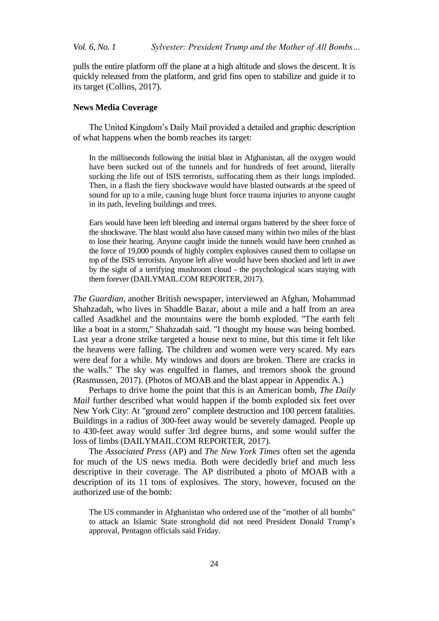pulls the entire platform off the plane at a high altitude and slows the descent. It is quickly released from the platform, and grid fins open to stabilize and guide it to its target (Collins, 2017).

#### **News Media Coverage**

The United Kingdom's Daily Mail provided a detailed and graphic description of what happens when the bomb reaches its target:

In the milliseconds following the initial blast in Afghanistan, all the oxygen would have been sucked out of the tunnels and for hundreds of feet around, literally sucking the life out of ISIS terrorists, suffocating them as their lungs imploded. Then, in a flash the fiery shockwave would have blasted outwards at the speed of sound for up to a mile, causing huge blunt force trauma injuries to anyone caught in its path, leveling buildings and trees.

Ears would have been left bleeding and internal organs battered by the sheer force of the shockwave. The blast would also have caused many within two miles of the blast to lose their hearing. Anyone caught inside the tunnels would have been crushed as the force of 19,000 pounds of highly complex explosives caused them to collapse on top of the ISIS terrorists. Anyone left alive would have been shocked and left in awe by the sight of a terrifying mushroom cloud - the psychological scars staying with them forever (DAILYMAIL.COM REPORTER, 2017).

*The Guardian*, another British newspaper, interviewed an Afghan, Mohammad Shahzadah, who lives in Shaddle Bazar, about a mile and a half from an area called Asadkhel and the mountains were the bomb exploded. "The earth felt like a boat in a storm," Shahzadah said. "I thought my house was being bombed. Last year a drone strike targeted a house next to mine, but this time it felt like the heavens were falling. The children and women were very scared. My ears were deaf for a while. My windows and doors are broken. There are cracks in the walls." The sky was engulfed in flames, and tremors shook the ground (Rasmussen, 2017). (Photos of MOAB and the blast appear in Appendix A.)

Perhaps to drive home the point that this is an American bomb, *The Daily Mail* further described what would happen if the bomb exploded six feet over New York City: At "ground zero" complete destruction and 100 percent fatalities. Buildings in a radius of 300-feet away would be severely damaged. People up to 430-feet away would suffer 3rd degree burns, and some would suffer the loss of limbs (DAILYMAIL.COM REPORTER, 2017).

The *Associated Press* (AP) and *The New York Times* often set the agenda for much of the US news media. Both were decidedly brief and much less descriptive in their coverage. The AP distributed a photo of MOAB with a description of its 11 tons of explosives. The story, however, focused on the authorized use of the bomb:

The US commander in Afghanistan who ordered use of the "mother of all bombs" to attack an Islamic State stronghold did not need President Donald Trump's approval, Pentagon officials said Friday.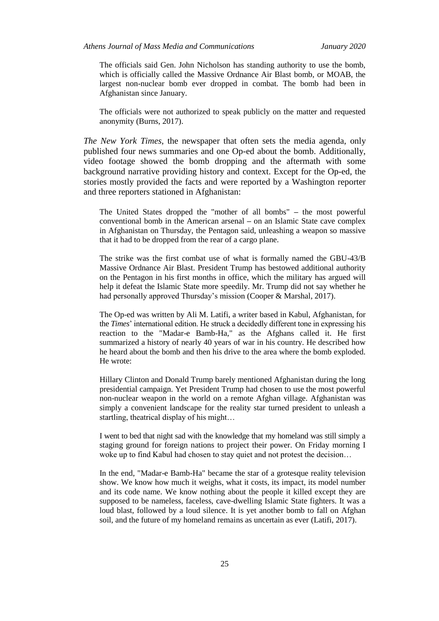The officials said Gen. John Nicholson has standing authority to use the bomb, which is officially called the Massive Ordnance Air Blast bomb, or MOAB, the largest non-nuclear bomb ever dropped in combat. The bomb had been in Afghanistan since January.

The officials were not authorized to speak publicly on the matter and requested anonymity (Burns, 2017).

*The New York Times*, the newspaper that often sets the media agenda, only published four news summaries and one Op-ed about the bomb. Additionally, video footage showed the bomb dropping and the aftermath with some background narrative providing history and context. Except for the Op-ed, the stories mostly provided the facts and were reported by a Washington reporter and three reporters stationed in Afghanistan:

The United States dropped the "mother of all bombs" **–** the most powerful conventional bomb in the American arsenal **–** on an Islamic State cave complex in Afghanistan on Thursday, the Pentagon said, unleashing a weapon so massive that it had to be dropped from the rear of a cargo plane.

The strike was the first combat use of what is formally named the GBU-43/B Massive Ordnance Air Blast. President Trump has bestowed additional authority on the Pentagon in his first months in office, which the military has argued will help it defeat the Islamic State more speedily. Mr. Trump did not say whether he had personally approved Thursday's mission (Cooper & Marshal, 2017).

The Op-ed was written by Ali M. Latifi, a writer based in Kabul, Afghanistan, for the *Times*' international edition. He struck a decidedly different tone in expressing his reaction to the "Madar-e Bamb-Ha," as the Afghans called it. He first summarized a history of nearly 40 years of war in his country. He described how he heard about the bomb and then his drive to the area where the bomb exploded. He wrote:

Hillary Clinton and Donald Trump barely mentioned Afghanistan during the long presidential campaign. Yet President Trump had chosen to use the most powerful non-nuclear weapon in the world on a remote Afghan village. Afghanistan was simply a convenient landscape for the reality star turned president to unleash a startling, theatrical display of his might…

I went to bed that night sad with the knowledge that my homeland was still simply a staging ground for foreign nations to project their power. On Friday morning I woke up to find Kabul had chosen to stay quiet and not protest the decision…

In the end, "Madar-e Bamb-Ha" became the star of a grotesque reality television show. We know how much it weighs, what it costs, its impact, its model number and its code name. We know nothing about the people it killed except they are supposed to be nameless, faceless, cave-dwelling Islamic State fighters. It was a loud blast, followed by a loud silence. It is yet another bomb to fall on Afghan soil, and the future of my homeland remains as uncertain as ever (Latifi, 2017).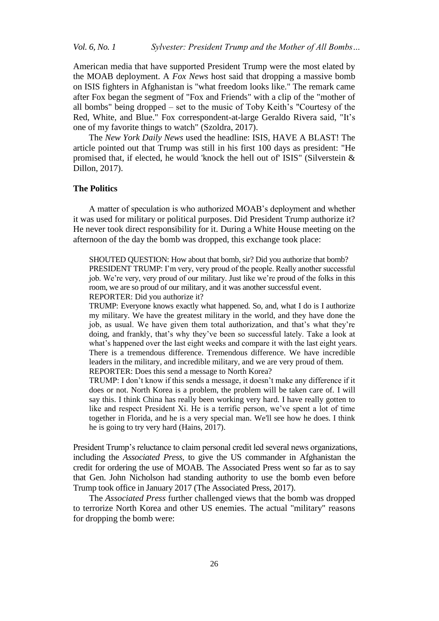American media that have supported President Trump were the most elated by the MOAB deployment. A *Fox News* host said that dropping a massive bomb on ISIS fighters in Afghanistan is "what freedom looks like." The remark came after Fox began the segment of "Fox and Friends" with a clip of the "mother of all bombs" being dropped – set to the music of Toby Keith's "Courtesy of the Red, White, and Blue." Fox correspondent-at-large Geraldo Rivera said, "It's one of my favorite things to watch" (Szoldra, 2017).

The *New York Daily News* used the headline: ISIS, HAVE A BLAST! The article pointed out that Trump was still in his first 100 days as president: "He promised that, if elected, he would 'knock the hell out of' ISIS" (Silverstein & Dillon, 2017).

#### **The Politics**

A matter of speculation is who authorized MOAB's deployment and whether it was used for military or political purposes. Did President Trump authorize it? He never took direct responsibility for it. During a White House meeting on the afternoon of the day the bomb was dropped, this exchange took place:

SHOUTED QUESTION: How about that bomb, sir? Did you authorize that bomb? PRESIDENT TRUMP: I'm very, very proud of the people. Really another successful job. We're very, very proud of our military. Just like we're proud of the folks in this room, we are so proud of our military, and it was another successful event. REPORTER: Did you authorize it?

TRUMP: Everyone knows exactly what happened. So, and, what I do is I authorize my military. We have the greatest military in the world, and they have done the job, as usual. We have given them total authorization, and that's what they're doing, and frankly, that's why they've been so successful lately. Take a look at what's happened over the last eight weeks and compare it with the last eight years. There is a tremendous difference. Tremendous difference. We have incredible leaders in the military, and incredible military, and we are very proud of them. REPORTER: Does this send a message to North Korea?

TRUMP: I don't know if this sends a message, it doesn't make any difference if it does or not. North Korea is a problem, the problem will be taken care of. I will say this. I think China has really been working very hard. I have really gotten to like and respect President Xi. He is a terrific person, we've spent a lot of time together in Florida, and he is a very special man. We'll see how he does. I think he is going to try very hard (Hains, 2017).

President Trump's reluctance to claim personal credit led several news organizations, including the *Associated Press*, to give the US commander in Afghanistan the credit for ordering the use of MOAB. The Associated Press went so far as to say that Gen. John Nicholson had standing authority to use the bomb even before Trump took office in January 2017 (The Associated Press, 2017).

The *Associated Press* further challenged views that the bomb was dropped to terrorize North Korea and other US enemies. The actual "military" reasons for dropping the bomb were: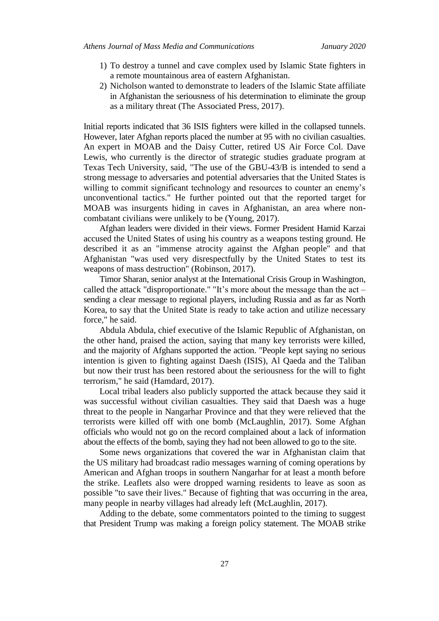- 1) To destroy a tunnel and cave complex used by Islamic State fighters in a remote mountainous area of eastern Afghanistan.
- 2) Nicholson wanted to demonstrate to leaders of the Islamic State affiliate in Afghanistan the seriousness of his determination to eliminate the group as a military threat (The Associated Press, 2017).

Initial reports indicated that 36 ISIS fighters were killed in the collapsed tunnels. However, later Afghan reports placed the number at 95 with no civilian casualties. An expert in MOAB and the Daisy Cutter, retired US Air Force Col. Dave Lewis, who currently is the director of strategic studies graduate program at Texas Tech University, said, "The use of the GBU-43/B is intended to send a strong message to adversaries and potential adversaries that the United States is willing to commit significant technology and resources to counter an enemy's unconventional tactics." He further pointed out that the reported target for MOAB was insurgents hiding in caves in Afghanistan, an area where noncombatant civilians were unlikely to be (Young, 2017).

Afghan leaders were divided in their views. Former President Hamid Karzai accused the United States of using his country as a weapons testing ground. He described it as an "immense atrocity against the Afghan people" and that Afghanistan "was used very disrespectfully by the United States to test its weapons of mass destruction" (Robinson, 2017).

Timor Sharan, senior analyst at the International Crisis Group in Washington, called the attack "disproportionate." "It's more about the message than the act – sending a clear message to regional players, including Russia and as far as North Korea, to say that the United State is ready to take action and utilize necessary force," he said.

Abdula Abdula, chief executive of the Islamic Republic of Afghanistan, on the other hand, praised the action, saying that many key terrorists were killed, and the majority of Afghans supported the action. "People kept saying no serious intention is given to fighting against Daesh (ISIS), Al Qaeda and the Taliban but now their trust has been restored about the seriousness for the will to fight terrorism," he said (Hamdard, 2017).

Local tribal leaders also publicly supported the attack because they said it was successful without civilian casualties. They said that Daesh was a huge threat to the people in Nangarhar Province and that they were relieved that the terrorists were killed off with one bomb (McLaughlin, 2017). Some Afghan officials who would not go on the record complained about a lack of information about the effects of the bomb, saying they had not been allowed to go to the site.

Some news organizations that covered the war in Afghanistan claim that the US military had broadcast radio messages warning of coming operations by American and Afghan troops in southern Nangarhar for at least a month before the strike. Leaflets also were dropped warning residents to leave as soon as possible "to save their lives." Because of fighting that was occurring in the area, many people in nearby villages had already left (McLaughlin, 2017).

Adding to the debate, some commentators pointed to the timing to suggest that President Trump was making a foreign policy statement. The MOAB strike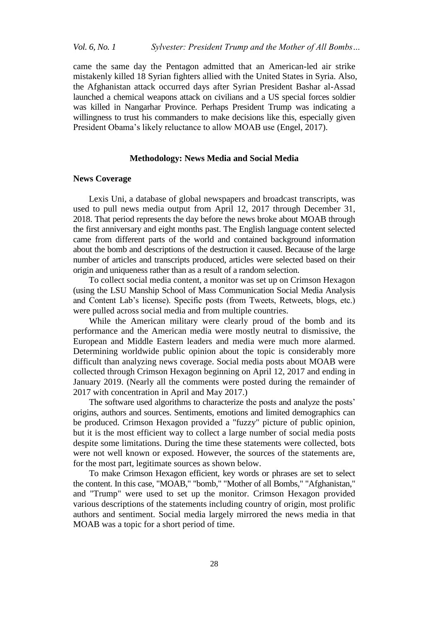came the same day the Pentagon admitted that an American-led air strike mistakenly killed 18 Syrian fighters allied with the United States in Syria. Also, the Afghanistan attack occurred days after Syrian President Bashar al-Assad launched a chemical weapons attack on civilians and a US special forces soldier was killed in Nangarhar Province. Perhaps President Trump was indicating a willingness to trust his commanders to make decisions like this, especially given President Obama's likely reluctance to allow MOAB use (Engel, 2017).

#### **Methodology: News Media and Social Media**

#### **News Coverage**

Lexis Uni, a database of global newspapers and broadcast transcripts, was used to pull news media output from April 12, 2017 through December 31, 2018. That period represents the day before the news broke about MOAB through the first anniversary and eight months past. The English language content selected came from different parts of the world and contained background information about the bomb and descriptions of the destruction it caused. Because of the large number of articles and transcripts produced, articles were selected based on their origin and uniqueness rather than as a result of a random selection.

To collect social media content, a monitor was set up on Crimson Hexagon (using the LSU Manship School of Mass Communication Social Media Analysis and Content Lab's license). Specific posts (from Tweets, Retweets, blogs, etc.) were pulled across social media and from multiple countries.

While the American military were clearly proud of the bomb and its performance and the American media were mostly neutral to dismissive, the European and Middle Eastern leaders and media were much more alarmed. Determining worldwide public opinion about the topic is considerably more difficult than analyzing news coverage. Social media posts about MOAB were collected through Crimson Hexagon beginning on April 12, 2017 and ending in January 2019. (Nearly all the comments were posted during the remainder of 2017 with concentration in April and May 2017.)

The software used algorithms to characterize the posts and analyze the posts' origins, authors and sources. Sentiments, emotions and limited demographics can be produced. Crimson Hexagon provided a "fuzzy" picture of public opinion, but it is the most efficient way to collect a large number of social media posts despite some limitations. During the time these statements were collected, bots were not well known or exposed. However, the sources of the statements are, for the most part, legitimate sources as shown below.

To make Crimson Hexagon efficient, key words or phrases are set to select the content. In this case, "MOAB," "bomb," "Mother of all Bombs," "Afghanistan," and "Trump" were used to set up the monitor. Crimson Hexagon provided various descriptions of the statements including country of origin, most prolific authors and sentiment. Social media largely mirrored the news media in that MOAB was a topic for a short period of time.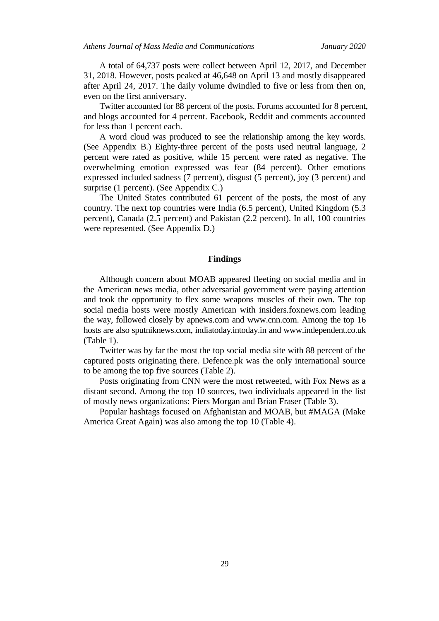A total of 64,737 posts were collect between April 12, 2017, and December 31, 2018. However, posts peaked at 46,648 on April 13 and mostly disappeared after April 24, 2017. The daily volume dwindled to five or less from then on, even on the first anniversary.

Twitter accounted for 88 percent of the posts. Forums accounted for 8 percent, and blogs accounted for 4 percent. Facebook, Reddit and comments accounted for less than 1 percent each.

A word cloud was produced to see the relationship among the key words. (See Appendix B.) Eighty-three percent of the posts used neutral language, 2 percent were rated as positive, while 15 percent were rated as negative. The overwhelming emotion expressed was fear (84 percent). Other emotions expressed included sadness (7 percent), disgust (5 percent), joy (3 percent) and surprise (1 percent). (See Appendix C.)

The United States contributed 61 percent of the posts, the most of any country. The next top countries were India (6.5 percent), United Kingdom (5.3 percent), Canada (2.5 percent) and Pakistan (2.2 percent). In all, 100 countries were represented. (See Appendix D.)

#### **Findings**

Although concern about MOAB appeared fleeting on social media and in the American news media, other adversarial government were paying attention and took the opportunity to flex some weapons muscles of their own. The top social media hosts were mostly American with insiders.foxnews.com leading the way, followed closely by apnews.com and www.cnn.com. Among the top 16 hosts are also sputniknews.com, indiatoday.intoday.in and www.independent.co.uk (Table 1).

Twitter was by far the most the top social media site with 88 percent of the captured posts originating there. Defence.pk was the only international source to be among the top five sources (Table 2).

Posts originating from CNN were the most retweeted, with Fox News as a distant second. Among the top 10 sources, two individuals appeared in the list of mostly news organizations: Piers Morgan and Brian Fraser (Table 3).

Popular hashtags focused on Afghanistan and MOAB, but #MAGA (Make America Great Again) was also among the top 10 (Table 4).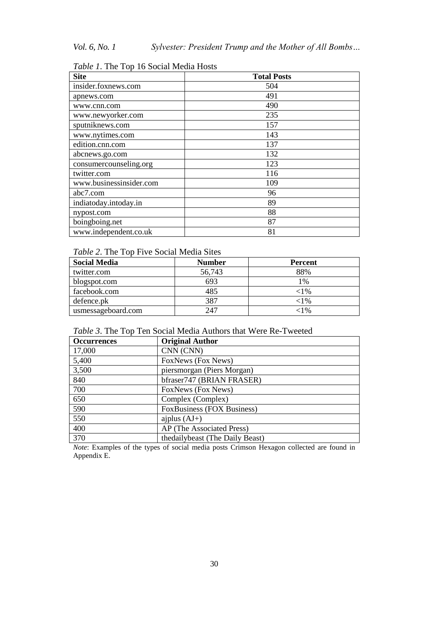| <b>Site</b>             | <b>Total Posts</b> |
|-------------------------|--------------------|
| insider.foxnews.com     | 504                |
| apnews.com              | 491                |
| www.cnn.com             | 490                |
| www.newyorker.com       | 235                |
| sputniknews.com         | 157                |
| www.nytimes.com         | 143                |
| edition.cnn.com         | 137                |
| abcnews.go.com          | 132                |
| consumercounseling.org  | 123                |
| twitter.com             | 116                |
| www.businessinsider.com | 109                |
| abc7.com                | 96                 |
| indiatoday.intoday.in   | 89                 |
| nypost.com              | 88                 |
| boingboing.net          | 87                 |
| www.independent.co.uk   | 81                 |

*Table 1*. The Top 16 Social Media Hosts

### *Table 2*. The Top Five Social Media Sites

| <b>Social Media</b> | <b>Number</b> | <b>Percent</b> |
|---------------------|---------------|----------------|
| twitter.com         | 56,743        | 88%            |
| blogspot.com        | 693           | 1%             |
| facebook.com        | 485           | ${<}1\%$       |
| defence.pk          | 387           | ${<}1\%$       |
| usmessageboard.com  | 247           | ${<}1\%$       |

## *Table 3*. The Top Ten Social Media Authors that Were Re-Tweeted

| <b>Occurrences</b> | <b>Original Author</b>            |
|--------------------|-----------------------------------|
| 17,000             | CNN (CNN)                         |
| 5,400              | FoxNews (Fox News)                |
| 3,500              | piersmorgan (Piers Morgan)        |
| 840                | bfraser747 (BRIAN FRASER)         |
| 700                | FoxNews (Fox News)                |
| 650                | Complex (Complex)                 |
| 590                | <b>FoxBusiness (FOX Business)</b> |
| 550                | ajplus $(AJ+)$                    |
| 400                | AP (The Associated Press)         |
| 370                | the daily beast (The Daily Beast) |

*Note*: Examples of the types of social media posts Crimson Hexagon collected are found in Appendix E.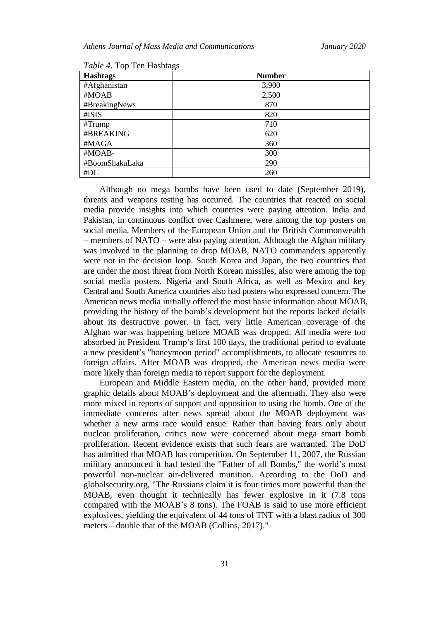| <b>Hashtags</b> | <b>Number</b> |
|-----------------|---------------|
| #Afghanistan    | 3,900         |
| #MOAB           | 2,500         |
| #BreakingNews   | 870           |
| #ISIS           | 820           |
| # Trump         | 710           |
| #BREAKING       | 620           |
| #MAGA           | 360           |
| #MOAB-          | 300           |
| #BoomShakaLaka  | 290           |
| #DC             | 260           |

*Table 4*. Top Ten Hashtags

Although no mega bombs have been used to date (September 2019), threats and weapons testing has occurred. The countries that reacted on social media provide insights into which countries were paying attention. India and Pakistan, in continuous conflict over Cashmere, were among the top posters on social media. Members of the European Union and the British Commonwealth – members of NATO – were also paying attention. Although the Afghan military was involved in the planning to drop MOAB, NATO commanders apparently were not in the decision loop. South Korea and Japan, the two countries that are under the most threat from North Korean missiles, also were among the top social media posters. Nigeria and South Africa, as well as Mexico and key Central and South America countries also had posters who expressed concern. The American news media initially offered the most basic information about MOAB, providing the history of the bomb's development but the reports lacked details about its destructive power. In fact, very little American coverage of the Afghan war was happening before MOAB was dropped. All media were too absorbed in President Trump's first 100 days, the traditional period to evaluate a new president's "honeymoon period" accomplishments, to allocate resources to foreign affairs. After MOAB was dropped, the American news media were more likely than foreign media to report support for the deployment.

European and Middle Eastern media, on the other hand, provided more graphic details about MOAB's deployment and the aftermath. They also were more mixed in reports of support and opposition to using the bomb. One of the immediate concerns after news spread about the MOAB deployment was whether a new arms race would ensue. Rather than having fears only about nuclear proliferation, critics now were concerned about mega smart bomb proliferation. Recent evidence exists that such fears are warranted. The DoD has admitted that MOAB has competition. On September 11, 2007, the Russian military announced it had tested the "Father of all Bombs," the world's most powerful non-nuclear air-delivered munition. According to the DoD and globalsecurity.org, "The Russians claim it is four times more powerful than the MOAB, even thought it technically has fewer explosive in it (7.8 tons compared with the MOAB's 8 tons). The FOAB is said to use more efficient explosives, yielding the equivalent of 44 tons of TNT with a blast radius of 300 meters – double that of the MOAB (Collins, 2017)."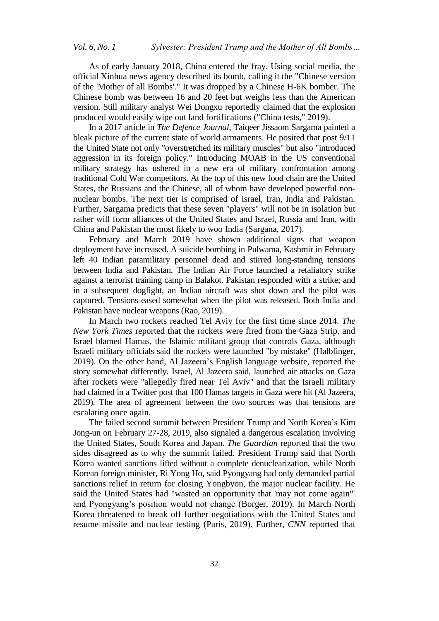As of early January 2018, China entered the fray. Using social media, the official Xinhua news agency described its bomb, calling it the "Chinese version of the 'Mother of all Bombs'." It was dropped by a Chinese H-6K bomber. The Chinese bomb was between 16 and 20 feet but weighs less than the American version. Still military analyst Wei Dongxu reportedly claimed that the explosion produced would easily wipe out land fortifications ("China tests," 2019).

In a 2017 article in *The Defence Journal*, Taiqeer Jissaom Sargama painted a bleak picture of the current state of world armaments. He posited that post 9/11 the United State not only "overstretched its military muscles" but also "introduced aggression in its foreign policy." Introducing MOAB in the US conventional military strategy has ushered in a new era of military confrontation among traditional Cold War competitors. At the top of this new food chain are the United States, the Russians and the Chinese, all of whom have developed powerful nonnuclear bombs. The next tier is comprised of Israel, Iran, India and Pakistan. Further, Sargama predicts that these seven "players" will not be in isolation but rather will form alliances of the United States and Israel, Russia and Iran, with China and Pakistan the most likely to woo India (Sargana, 2017).

February and March 2019 have shown additional signs that weapon deployment have increased. A suicide bombing in Pulwama, Kashmir in February left 40 Indian paramilitary personnel dead and stirred long-standing tensions between India and Pakistan. The Indian Air Force launched a retaliatory strike against a terrorist training camp in Balakot. Pakistan responded with a strike; and in a subsequent dogfight, an Indian aircraft was shot down and the pilot was captured. Tensions eased somewhat when the pilot was released. Both India and Pakistan have nuclear weapons (Rao, 2019).

In March two rockets reached Tel Aviv for the first time since 2014. *The New York Times* reported that the rockets were fired from the Gaza Strip, and Israel blamed Hamas, the Islamic militant group that controls Gaza, although Israeli military officials said the rockets were launched "by mistake" (Halbfinger, 2019). On the other hand, Al Jazeera's English language website, reported the story somewhat differently. Israel, Al Jazeera said, launched air attacks on Gaza after rockets were "allegedly fired near Tel Aviv" and that the Israeli military had claimed in a Twitter post that 100 Hamas targets in Gaza were hit (Al Jazeera, 2019). The area of agreement between the two sources was that tensions are escalating once again.

The failed second summit between President Trump and North Korea's Kim Jong-un on February 27-28, 2019, also signaled a dangerous escalation involving the United States, South Korea and Japan. *The Guardian* reported that the two sides disagreed as to why the summit failed. President Trump said that North Korea wanted sanctions lifted without a complete denuclearization, while North Korean foreign minister, Ri Yong Ho, said Pyongyang had only demanded partial sanctions relief in return for closing Yongbyon, the major nuclear facility. He said the United States had "wasted an opportunity that 'may not come again'" and Pyongyang's position would not change (Borger, 2019). In March North Korea threatened to break off further negotiations with the United States and resume missile and nuclear testing (Paris, 2019). Further, *CNN* reported that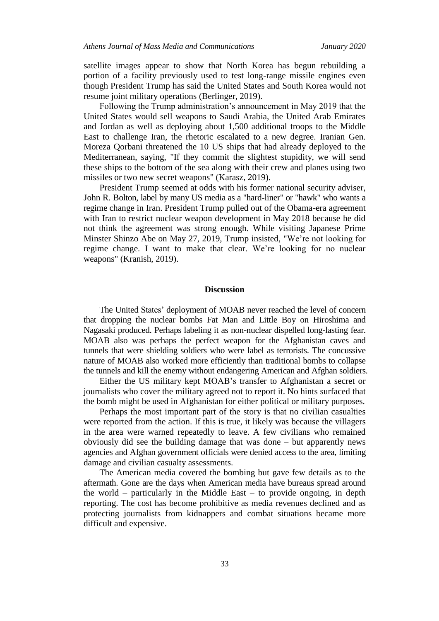satellite images appear to show that North Korea has begun rebuilding a portion of a facility previously used to test long-range missile engines even though President Trump has said the United States and South Korea would not resume joint military operations (Berlinger, 2019).

Following the Trump administration's announcement in May 2019 that the United States would sell weapons to Saudi Arabia, the United Arab Emirates and Jordan as well as deploying about 1,500 additional troops to the Middle East to challenge Iran, the rhetoric escalated to a new degree. Iranian Gen. Moreza Qorbani threatened the 10 US ships that had already deployed to the Mediterranean, saying, "If they commit the slightest stupidity, we will send these ships to the bottom of the sea along with their crew and planes using two missiles or two new secret weapons" (Karasz, 2019).

President Trump seemed at odds with his former national security adviser, John R. Bolton, label by many US media as a "hard-liner" or "hawk" who wants a regime change in Iran. President Trump pulled out of the Obama-era agreement with Iran to restrict nuclear weapon development in May 2018 because he did not think the agreement was strong enough. While visiting Japanese Prime Minster Shinzo Abe on May 27, 2019, Trump insisted, "We're not looking for regime change. I want to make that clear. We're looking for no nuclear weapons" (Kranish, 2019).

#### **Discussion**

The United States' deployment of MOAB never reached the level of concern that dropping the nuclear bombs Fat Man and Little Boy on Hiroshima and Nagasaki produced. Perhaps labeling it as non-nuclear dispelled long-lasting fear. MOAB also was perhaps the perfect weapon for the Afghanistan caves and tunnels that were shielding soldiers who were label as terrorists. The concussive nature of MOAB also worked more efficiently than traditional bombs to collapse the tunnels and kill the enemy without endangering American and Afghan soldiers.

Either the US military kept MOAB's transfer to Afghanistan a secret or journalists who cover the military agreed not to report it. No hints surfaced that the bomb might be used in Afghanistan for either political or military purposes.

Perhaps the most important part of the story is that no civilian casualties were reported from the action. If this is true, it likely was because the villagers in the area were warned repeatedly to leave. A few civilians who remained obviously did see the building damage that was done – but apparently news agencies and Afghan government officials were denied access to the area, limiting damage and civilian casualty assessments.

The American media covered the bombing but gave few details as to the aftermath. Gone are the days when American media have bureaus spread around the world – particularly in the Middle East – to provide ongoing, in depth reporting. The cost has become prohibitive as media revenues declined and as protecting journalists from kidnappers and combat situations became more difficult and expensive.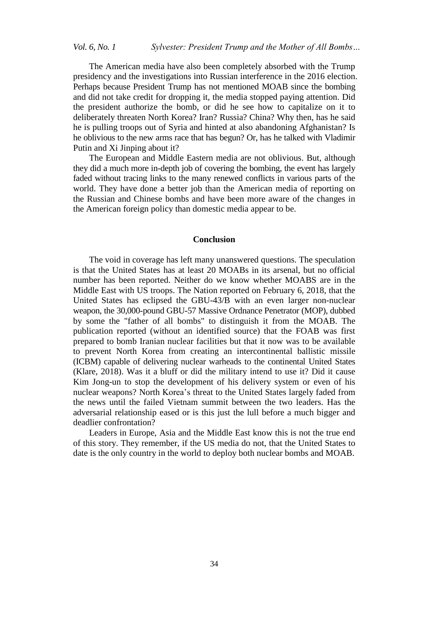The American media have also been completely absorbed with the Trump presidency and the investigations into Russian interference in the 2016 election. Perhaps because President Trump has not mentioned MOAB since the bombing and did not take credit for dropping it, the media stopped paying attention. Did the president authorize the bomb, or did he see how to capitalize on it to deliberately threaten North Korea? Iran? Russia? China? Why then, has he said he is pulling troops out of Syria and hinted at also abandoning Afghanistan? Is he oblivious to the new arms race that has begun? Or, has he talked with Vladimir Putin and Xi Jinping about it?

The European and Middle Eastern media are not oblivious. But, although they did a much more in-depth job of covering the bombing, the event has largely faded without tracing links to the many renewed conflicts in various parts of the world. They have done a better job than the American media of reporting on the Russian and Chinese bombs and have been more aware of the changes in the American foreign policy than domestic media appear to be.

#### **Conclusion**

The void in coverage has left many unanswered questions. The speculation is that the United States has at least 20 MOABs in its arsenal, but no official number has been reported. Neither do we know whether MOABS are in the Middle East with US troops. The Nation reported on February 6, 2018, that the United States has eclipsed the GBU-43/B with an even larger non-nuclear weapon, the 30,000-pound GBU-57 Massive Ordnance Penetrator (MOP), dubbed by some the "father of all bombs" to distinguish it from the MOAB. The publication reported (without an identified source) that the FOAB was first prepared to bomb Iranian nuclear facilities but that it now was to be available to prevent North Korea from creating an intercontinental ballistic missile (ICBM) capable of delivering nuclear warheads to the continental United States (Klare, 2018). Was it a bluff or did the military intend to use it? Did it cause Kim Jong-un to stop the development of his delivery system or even of his nuclear weapons? North Korea's threat to the United States largely faded from the news until the failed Vietnam summit between the two leaders. Has the adversarial relationship eased or is this just the lull before a much bigger and deadlier confrontation?

Leaders in Europe, Asia and the Middle East know this is not the true end of this story. They remember, if the US media do not, that the United States to date is the only country in the world to deploy both nuclear bombs and MOAB.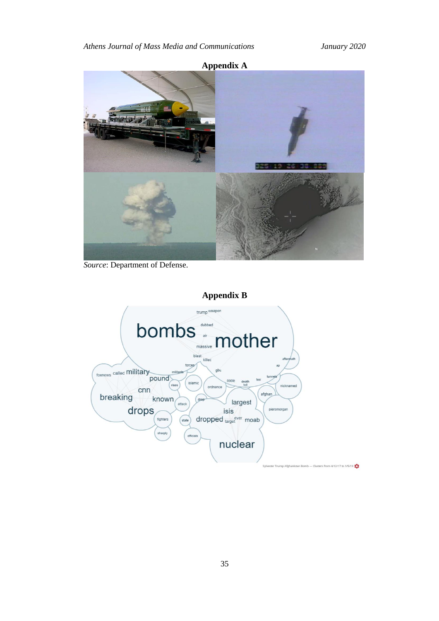

*Source*: Department of Defense.



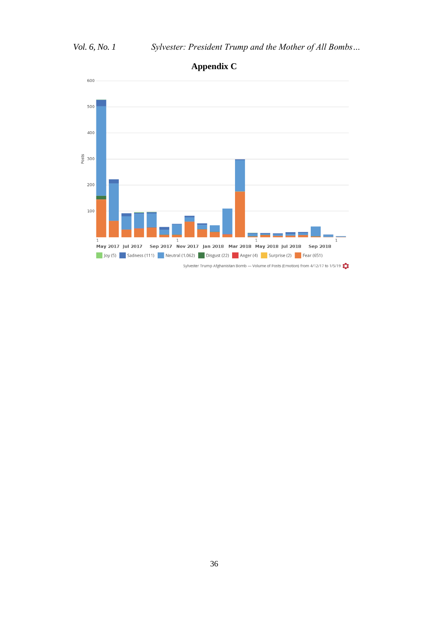

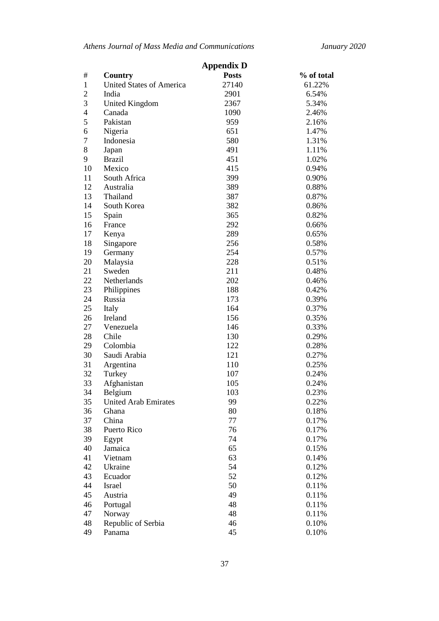*Athens Journal of Mass Media and Communications January 2020*

|                |                                 | <b>Appendix D</b> |            |  |
|----------------|---------------------------------|-------------------|------------|--|
| #              | Country                         | <b>Posts</b>      | % of total |  |
| $\mathbf{1}$   | <b>United States of America</b> | 27140             | 61.22%     |  |
| $\overline{2}$ | India                           | 2901              | 6.54%      |  |
| 3              | <b>United Kingdom</b>           | 2367              | 5.34%      |  |
| 4              | Canada                          | 1090              | 2.46%      |  |
| 5              | Pakistan                        | 959               | 2.16%      |  |
| 6              | Nigeria                         | 651               | 1.47%      |  |
| 7              | Indonesia                       | 580               | 1.31%      |  |
| 8              | Japan                           | 491               | 1.11%      |  |
| 9              | <b>Brazil</b>                   | 451               | 1.02%      |  |
| 10             | Mexico                          | 415               | 0.94%      |  |
| 11             | South Africa                    | 399               | 0.90%      |  |
| 12             | Australia                       | 389               | 0.88%      |  |
| 13             | Thailand                        | 387               | 0.87%      |  |
| 14             | South Korea                     | 382               | 0.86%      |  |
| 15             | Spain                           | 365               | 0.82%      |  |
| 16             | France                          | 292               | 0.66%      |  |
| 17             | Kenya                           | 289               | 0.65%      |  |
| 18             | Singapore                       | 256               | 0.58%      |  |
| 19             | Germany                         | 254               | 0.57%      |  |
| 20             | Malaysia                        | 228               | 0.51%      |  |
| 21             | Sweden                          | 211               | 0.48%      |  |
| 22             | Netherlands                     | 202               | 0.46%      |  |
| 23             | Philippines                     | 188               | 0.42%      |  |
| 24             | Russia                          | 173               | 0.39%      |  |
| 25             | Italy                           | 164               | 0.37%      |  |
| 26             | Ireland                         | 156               | 0.35%      |  |
| 27             | Venezuela                       | 146               | 0.33%      |  |
| 28             | Chile                           | 130               | 0.29%      |  |
| 29             | Colombia                        | 122               | 0.28%      |  |
| 30             | Saudi Arabia                    | 121               | 0.27%      |  |
| 31             | Argentina                       | 110               | 0.25%      |  |
| 32             | Turkey                          | 107               | 0.24%      |  |
| 33             | Afghanistan                     | 105               | 0.24%      |  |
| 34             | Belgium                         | 103               | 0.23%      |  |
| 35             | <b>United Arab Emirates</b>     | 99                | 0.22%      |  |
| 36             | Ghana                           | 80                | 0.18%      |  |
| 37             | China                           | 77                | 0.17%      |  |
| 38             | Puerto Rico                     | 76                | 0.17%      |  |
| 39             | Egypt                           | 74                | 0.17%      |  |
| 40             | Jamaica                         | 65                | 0.15%      |  |
| 41             | Vietnam                         | 63                | 0.14%      |  |
| 42             | Ukraine                         | 54                | 0.12%      |  |
| 43             | Ecuador                         | 52                | 0.12%      |  |
| 44             | Israel                          | 50                | 0.11%      |  |
| 45             | Austria                         | 49                | 0.11%      |  |
| 46             | Portugal                        | 48                | 0.11%      |  |
| 47             | Norway                          | 48                | 0.11%      |  |
| 48             | Republic of Serbia              | 46                | 0.10%      |  |
| 49             | Panama                          | 45                | 0.10%      |  |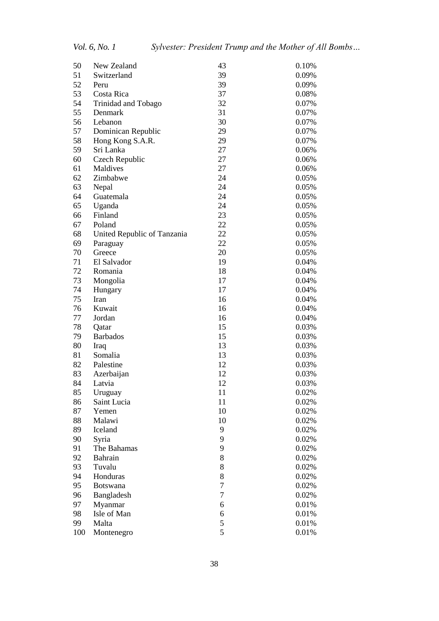| 50  | New Zealand                 | 43             | 0.10% |
|-----|-----------------------------|----------------|-------|
| 51  | Switzerland                 | 39             | 0.09% |
| 52  | Peru                        | 39             | 0.09% |
| 53  | Costa Rica                  | 37             | 0.08% |
| 54  | Trinidad and Tobago         | 32             | 0.07% |
| 55  | Denmark                     | 31             | 0.07% |
| 56  | Lebanon                     | 30             | 0.07% |
| 57  | Dominican Republic          | 29             | 0.07% |
| 58  | Hong Kong S.A.R.            | 29             | 0.07% |
| 59  | Sri Lanka                   | 27             | 0.06% |
| 60  | Czech Republic              | 27             | 0.06% |
| 61  | Maldives                    | 27             | 0.06% |
| 62  | Zimbabwe                    | 24             | 0.05% |
| 63  | Nepal                       | 24             | 0.05% |
| 64  | Guatemala                   | 24             | 0.05% |
| 65  | Uganda                      | 24             | 0.05% |
| 66  | Finland                     | 23             | 0.05% |
| 67  | Poland                      | 22             | 0.05% |
| 68  | United Republic of Tanzania | 22             | 0.05% |
| 69  | Paraguay                    | 22             | 0.05% |
| 70  | Greece                      | 20             | 0.05% |
| 71  | El Salvador                 | 19             | 0.04% |
| 72  | Romania                     | 18             | 0.04% |
| 73  | Mongolia                    | 17             | 0.04% |
| 74  | Hungary                     | 17             | 0.04% |
| 75  | Iran                        | 16             | 0.04% |
| 76  | Kuwait                      | 16             | 0.04% |
| 77  | Jordan                      | 16             | 0.04% |
| 78  | Qatar                       | 15             | 0.03% |
| 79  | <b>Barbados</b>             | 15             | 0.03% |
| 80  | Iraq                        | 13             | 0.03% |
| 81  | Somalia                     | 13             | 0.03% |
| 82  | Palestine                   | 12             | 0.03% |
| 83  | Azerbaijan                  | 12             | 0.03% |
| 84  | Latvia                      | 12             | 0.03% |
| 85  | Uruguay                     | 11             | 0.02% |
| 86  | Saint Lucia                 | 11             | 0.02% |
| 87  | Yemen                       | 10             | 0.02% |
| 88  | Malawi                      | 10             | 0.02% |
| 89  | Iceland                     | 9              | 0.02% |
| 90  | Syria                       | 9              | 0.02% |
| 91  | The Bahamas                 | 9              | 0.02% |
| 92  | Bahrain                     | 8              | 0.02% |
| 93  | Tuvalu                      | 8              | 0.02% |
| 94  | Honduras                    | 8              | 0.02% |
| 95  | <b>Botswana</b>             | $\overline{7}$ | 0.02% |
| 96  | Bangladesh                  | $\tau$         | 0.02% |
| 97  | Myanmar                     | 6              | 0.01% |
| 98  | Isle of Man                 | 6              | 0.01% |
| 99  | Malta                       | 5              | 0.01% |
| 100 | Montenegro                  | 5              | 0.01% |
|     |                             |                |       |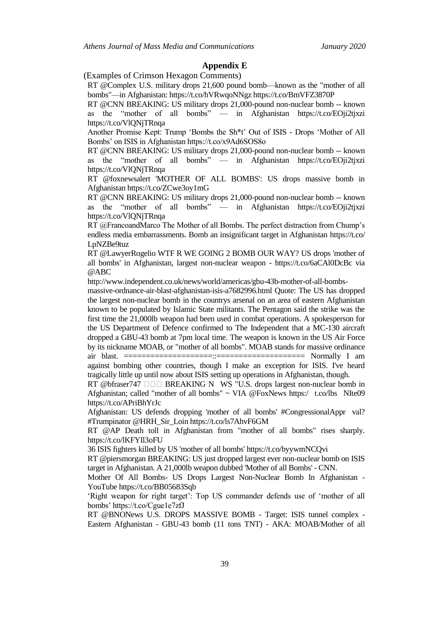#### **Appendix E**

(Examples of Crimson Hexagon Comments)

RT @Complex U.S. military drops 21,600 pound bomb—known as the "mother of all bombs"—in Afghanistan: https://t.co/hVRwqoNNgz https://t.co/BmVFZ3870P

RT @CNN BREAKING: US military drops 21,000-pound non-nuclear bomb -- known as the "mother of all bombs" — in Afghanistan https://t.co/EOji2tjxzi https://t.co/VlQNjTRnqa

Another Promise Kept: Trump 'Bombs the Sh<sup>\*t</sup>' Out of ISIS - Drops 'Mother of All Bombs' on ISIS in Afghanistan https://t.co/x9Ad6SOS8o

RT @CNN BREAKING: US military drops 21,000-pound non-nuclear bomb -- known as the "mother of all bombs" — in Afghanistan https://t.co/EOji2tjxzi https://t.co/VlQNjTRnqa

RT @foxnewsalert 'MOTHER OF ALL BOMBS': US drops massive bomb in Afghanistan https://t.co/ZCwe3oy1mG

RT @CNN BREAKING: US military drops 21,000-pound non-nuclear bomb -- known as the "mother of all bombs" — in Afghanistan https://t.co/EOji2tjxzi https://t.co/VlQNjTRnqa

RT @FrancoandMarco The Mother of all Bombs. The perfect distraction from Chump's endless media embarrassments. Bomb an insignificant target in Afghanistan https://t.co/ LpNZBe9tuz

RT @LawyerRogelio WTF R WE GOING 2 BOMB OUR WAY? US drops 'mother of all bombs' in Afghanistan, largest non-nuclear weapon - https://t.co/6aCAl0DcBc via @ABC

http://www.independent.co.uk/news/world/americas/gbu-43b-mother-of-all-bombs-

massive-ordnance-air-blast-afghanistan-isis-a7682996.html Quote: The US has dropped the largest non-nuclear bomb in the countrys arsenal on an area of eastern Afghanistan known to be populated by Islamic State militants. The Pentagon said the strike was the first time the 21,000lb weapon had been used in combat operations. A spokesperson for the US Department of Defence confirmed to The Independent that a MC-130 aircraft dropped a GBU-43 bomb at 7pm local time. The weapon is known in the US Air Force by its nickname MOAB, or "mother of all bombs". MOAB stands for massive ordinance air blast. ====================::==================== Normally I am against bombing other countries, though I make an exception for ISIS. I've heard

tragically little up until now about ISIS setting up operations in Afghanistan, though.

RT @bfraser747  $\square \square \square$  BREAKING N WS "U.S. drops largest non-nuclear bomb in Afghanistan; called "mother of all bombs" ~ VIA @FoxNews https:/ t.co/lbs NIte09 https://t.co/APriBhYrJc

Afghanistan: US defends dropping 'mother of all bombs' #CongressionalAppr val? #Trumpinator @HRH\_Sir\_Loin https://t.co/ls7AhvF6GM

RT @AP Death toll in Afghanistan from "mother of all bombs" rises sharply. https://t.co/lKFYIl3oFU

36 ISIS fighters killed by US 'mother of all bombs' https://t.co/byywmNCQvi

RT @piersmorgan BREAKING: US just dropped largest ever non-nuclear bomb on ISIS target in Afghanistan. A 21,000lb weapon dubbed 'Mother of all Bombs' - CNN.

Mother Of All Bombs- US Drops Largest Non-Nuclear Bomb In Afghanistan - YouTube https://t.co/BB05683Sqb

'Right weapon for right target': Top US commander defends use of 'mother of all bombs' https://t.co/Cgue1e7zfJ

RT @BNONews U.S. DROPS MASSIVE BOMB - Target: ISIS tunnel complex - Eastern Afghanistan - GBU-43 bomb (11 tons TNT) - AKA: MOAB/Mother of all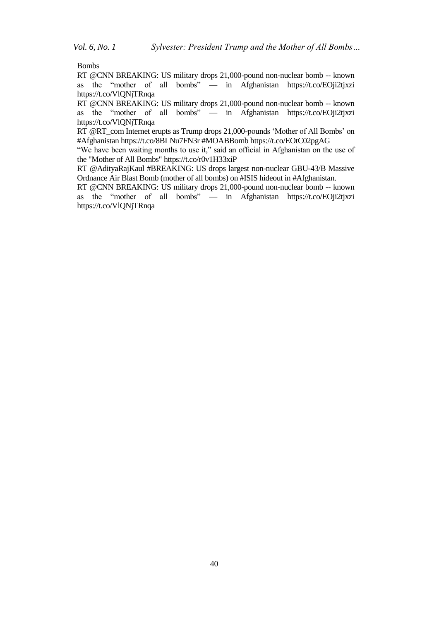Bombs

RT @CNN BREAKING: US military drops 21,000-pound non-nuclear bomb -- known as the "mother of all bombs" — in Afghanistan https://t.co/EOji2tjxzi https://t.co/VlQNjTRnqa

RT @CNN BREAKING: US military drops 21,000-pound non-nuclear bomb -- known as the "mother of all bombs" — in Afghanistan https://t.co/EOji2tjxzi https://t.co/VlQNjTRnqa

RT @RT\_com Internet erupts as Trump drops 21,000-pounds 'Mother of All Bombs' on #Afghanistan https://t.co/8BLNu7FN3r #MOABBomb https://t.co/EOtC02pgAG

"We have been waiting months to use it," said an official in Afghanistan on the use of the "Mother of All Bombs" https://t.co/r0v1H33xiP

RT @AdityaRajKaul #BREAKING: US drops largest non-nuclear GBU-43/B Massive Ordnance Air Blast Bomb (mother of all bombs) on #ISIS hideout in #Afghanistan.

RT @CNN BREAKING: US military drops 21,000-pound non-nuclear bomb -- known as the "mother of all bombs" — in Afghanistan https://t.co/EOji2tjxzi https://t.co/VlQNjTRnqa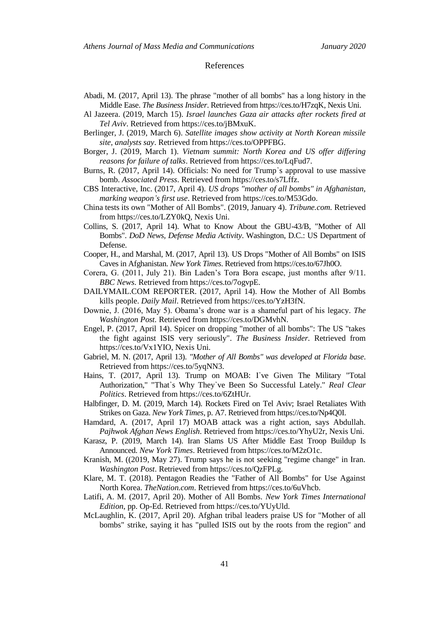#### References

- Abadi, M. (2017, April 13). The phrase "mother of all bombs" has a long history in the Middle Ease. *The Business Insider*. Retrieved from https://ces.to/H7zqK, Nexis Uni.
- Al Jazeera. (2019, March 15). *Israel launches Gaza air attacks after rockets fired at Tel Aviv*. Retrieved from https://ces.to/jBMxuK.
- Berlinger, J. (2019, March 6). *Satellite images show activity at North Korean missile site, analysts say*. Retrieved from https://ces.to/OPPFBG.
- Borger, J. (2019, March 1). *Vietnam summit: North Korea and US offer differing reasons for failure of talks*. Retrieved from https://ces.to/LqFud7.
- Burns, R. (2017, April 14). Officials: No need for Trump᾽s approval to use massive bomb. *Associated Press*. Retrieved from https://ces.to/s7Lffz.
- CBS Interactive, Inc. (2017, April 4). *US drops "mother of all bombs" in Afghanistan, marking weapon᾽s first use*. Retrieved from https://ces.to/M53Gdo.
- China tests its own "Mother of All Bombs". (2019, January 4). *Tribune.com.* Retrieved from https://ces.to/LZY0kQ, Nexis Uni.
- Collins, S. (2017, April 14). What to Know About the GBU-43/B, "Mother of All Bombs". *DoD News, Defense Media Activity*. Washington, D.C.: US Department of Defense.
- Cooper, H., and Marshal, M. (2017, April 13). US Drops "Mother of All Bombs" on ISIS Caves in Afghanistan. *New York Times*. Retrieved from https://ces.to/67Jh0O.
- Corera, G. (2011, July 21). Bin Laden's Tora Bora escape, just months after 9/11. *BBC News*. Retrieved from https://ces.to/7ogvpE.
- DAILYMAIL.COM REPORTER. (2017, April 14). How the Mother of All Bombs kills people. *Daily Mail*. Retrieved from https://ces.to/YzH3fN.
- Downie, J. (2016, May 5). Obama's drone war is a shameful part of his legacy. *The Washington Post.* Retrieved from https://ces.to/DGMvhN.
- Engel, P. (2017, April 14). Spicer on dropping "mother of all bombs": The US "takes the fight against ISIS very seriously". *The Business Insider.* Retrieved from https://ces.to/Vx1YIO, Nexis Uni.
- Gabriel, M. N. (2017, April 13). *"Mother of All Bombs" was developed at Florida base*. Retrieved from https://ces.to/5yqNN3.
- Hains, T. (2017, April 13). Trump on MOAB: I've Given The Military "Total Authorization," "That᾽s Why They᾽ve Been So Successful Lately." *Real Clear Politics*. Retrieved from https://ces.to/6ZtHUr.
- Halbfinger, D. M. (2019, March 14). Rockets Fired on Tel Aviv; Israel Retaliates With Strikes on Gaza. *New York Times*, p. A7. Retrieved from https://ces.to/Np4Q0I.
- Hamdard, A. (2017, April 17) MOAB attack was a right action, says Abdullah. *Pajhwok Afghan News English*. Retrieved from https://ces.to/YhyU2r, Nexis Uni.
- Karasz, P. (2019, March 14). Iran Slams US After Middle East Troop Buildup Is Announced. *New York Times*. Retrieved from https://ces.to/M2zO1c.
- Kranish, M. ((2019, May 27). Trump says he is not seeking "regime change" in Iran. *Washington Post*. Retrieved from https://ces.to/QzFPLg.
- Klare, M. T. (2018). Pentagon Readies the "Father of All Bombs" for Use Against North Korea. *TheNation.com*. Retrieved from https://ces.to/6uVhcb.
- Latifi, A. M. (2017, April 20). Mother of All Bombs. *New York Times International Edition*, pp. Op-Ed. Retrieved from https://ces.to/YUyUld.
- McLaughlin, K. (2017, April 20). Afghan tribal leaders praise US for "Mother of all bombs" strike, saying it has "pulled ISIS out by the roots from the region" and